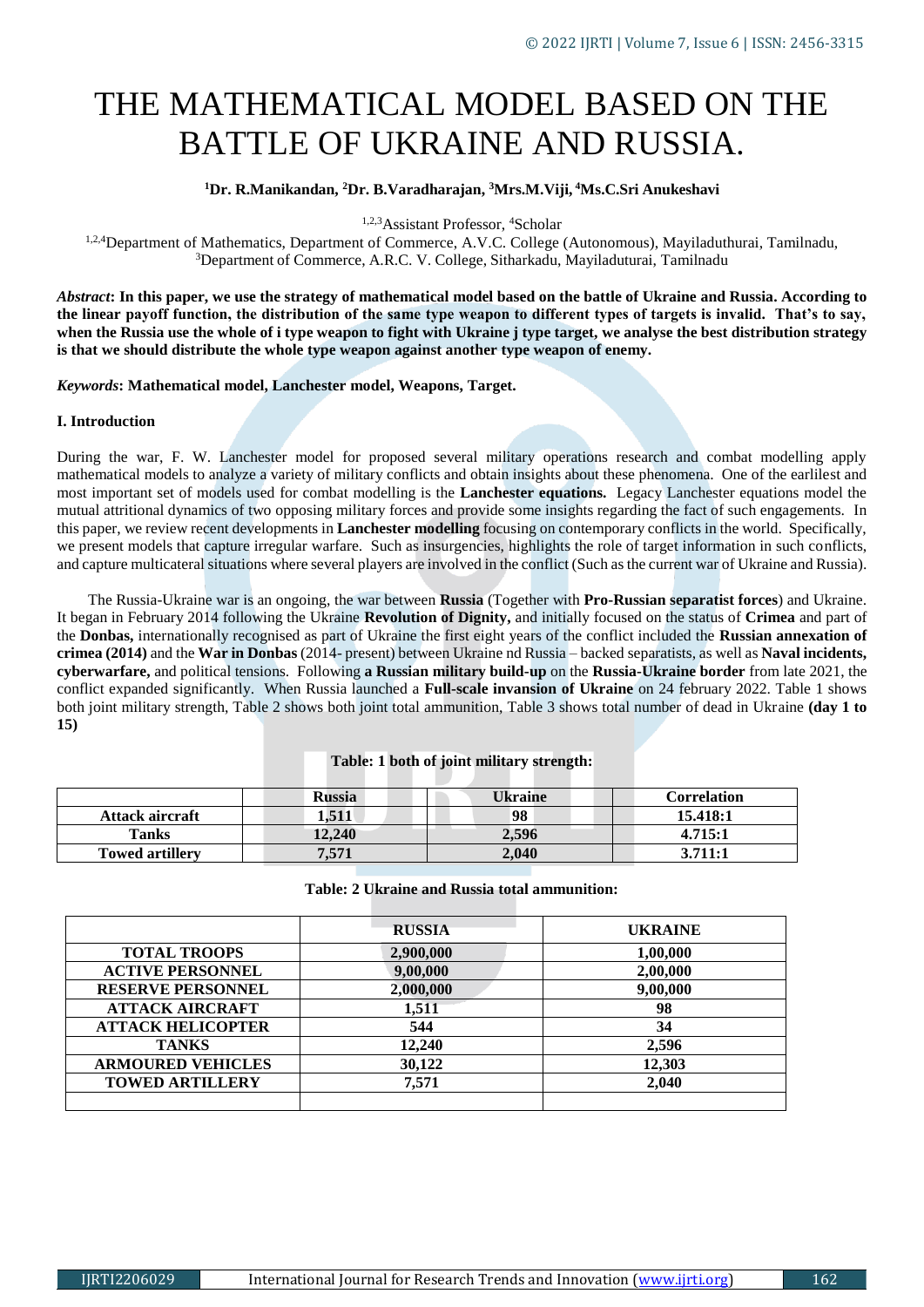# THE MATHEMATICAL MODEL BASED ON THE BATTLE OF UKRAINE AND RUSSIA.

# **<sup>1</sup>Dr. R.Manikandan, <sup>2</sup>Dr. B.Varadharajan, <sup>3</sup>Mrs.M.Viji, <sup>4</sup>Ms.C.Sri Anukeshavi**

<sup>1,2,3</sup>Assistant Professor, <sup>4</sup>Scholar

1,2,4Department of Mathematics, Department of Commerce, A.V.C. College (Autonomous), Mayiladuthurai, Tamilnadu, <sup>3</sup>Department of Commerce, A.R.C. V. College, Sitharkadu, Mayiladuturai, Tamilnadu

*Abstract***: In this paper, we use the strategy of mathematical model based on the battle of Ukraine and Russia. According to the linear payoff function, the distribution of the same type weapon to different types of targets is invalid. That's to say, when the Russia use the whole of i type weapon to fight with Ukraine j type target, we analyse the best distribution strategy is that we should distribute the whole type weapon against another type weapon of enemy.**

*Keywords***: Mathematical model, Lanchester model, Weapons, Target.**

## **I. Introduction**

During the war, F. W. Lanchester model for proposed several military operations research and combat modelling apply mathematical models to analyze a variety of military conflicts and obtain insights about these phenomena. One of the earlilest and most important set of models used for combat modelling is the **Lanchester equations.** Legacy Lanchester equations model the mutual attritional dynamics of two opposing military forces and provide some insights regarding the fact of such engagements. In this paper, we review recent developments in **Lanchester modelling** focusing on contemporary conflicts in the world. Specifically, we present models that capture irregular warfare. Such as insurgencies, highlights the role of target information in such conflicts, and capture multicateral situations where several players are involved in the conflict (Such as the current war of Ukraine and Russia).

 The Russia-Ukraine war is an ongoing, the war between **Russia** (Together with **Pro-Russian separatist forces**) and Ukraine. It began in February 2014 following the Ukraine **Revolution of Dignity,** and initially focused on the status of **Crimea** and part of the **Donbas,** internationally recognised as part of Ukraine the first eight years of the conflict included the **Russian annexation of crimea (2014)** and the **War in Donbas** (2014- present) between Ukraine nd Russia – backed separatists, as well as **Naval incidents, cyberwarfare,** and political tensions. Following **a Russian military build-up** on the **Russia-Ukraine border** from late 2021, the conflict expanded significantly. When Russia launched a **Full-scale invansion of Ukraine** on 24 february 2022. Table 1 shows both joint military strength, Table 2 shows both joint total ammunition, Table 3 shows total number of dead in Ukraine **(day 1 to 15)**

|                        | <b>Russia</b> | Ukraine | <b>Correlation</b> |
|------------------------|---------------|---------|--------------------|
| Attack aircraft        | 1,511         | 98      | 15.418:1           |
| Tanks                  | 12,240        | 2,596   | 4.715:1            |
| <b>Towed artillery</b> | 7,571         | 2.040   | 3.711:1            |

# **Table: 1 both of joint military strength:**

### **Table: 2 Ukraine and Russia total ammunition:**

|                          | <b>RUSSIA</b> | <b>UKRAINE</b> |
|--------------------------|---------------|----------------|
| <b>TOTAL TROOPS</b>      | 2,900,000     | 1,00,000       |
| <b>ACTIVE PERSONNEL</b>  | 9,00,000      | 2,00,000       |
| <b>RESERVE PERSONNEL</b> | 2,000,000     | 9,00,000       |
| <b>ATTACK AIRCRAFT</b>   | 1,511         | 98             |
| <b>ATTACK HELICOPTER</b> | 544           | 34             |
| <b>TANKS</b>             | 12,240        | 2,596          |
| <b>ARMOURED VEHICLES</b> | 30,122        | 12,303         |
| <b>TOWED ARTILLERY</b>   | 7,571         | 2,040          |
|                          |               |                |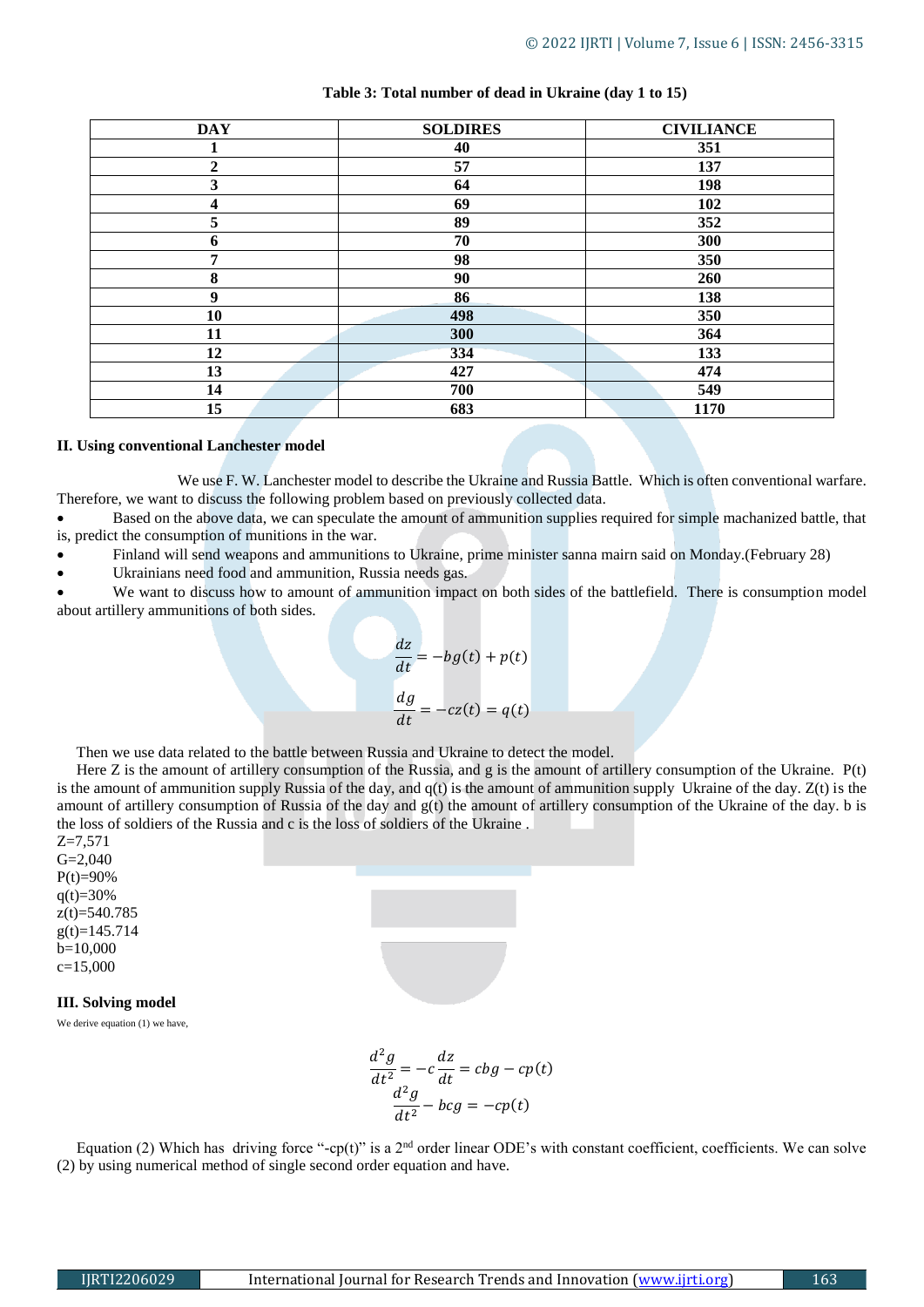| <b>DAY</b>   | <b>SOLDIRES</b> | <b>CIVILIANCE</b> |
|--------------|-----------------|-------------------|
|              | 40              | 351               |
| $\mathbf{2}$ | 57              | 137               |
| 3            | 64              | 198               |
| 4            | 69              | 102               |
| 5            | 89              | 352               |
| 6            | 70              | 300               |
| 7            | 98              | 350               |
| 8            | 90              | 260               |
| 9            | 86              | 138               |
| 10           | 498             | 350               |
| 11           | 300             | 364               |
| 12           | 334             | 133               |
| 13           | 427             | 474               |
| 14           | 700             | 549               |
| 15           | 683             | 1170              |

# **Table 3: Total number of dead in Ukraine (day 1 to 15)**

## **II. Using conventional Lanchester model**

 We use F. W. Lanchester model to describe the Ukraine and Russia Battle. Which is often conventional warfare. Therefore, we want to discuss the following problem based on previously collected data.

Based on the above data, we can speculate the amount of ammunition supplies required for simple machanized battle, that

- is, predict the consumption of munitions in the war.
- Finland will send weapons and ammunitions to Ukraine, prime minister sanna mairn said on Monday.(February 28)
- Ukrainians need food and ammunition, Russia needs gas.

We want to discuss how to amount of ammunition impact on both sides of the battlefield. There is consumption model about artillery ammunitions of both sides.

$$
\frac{dz}{dt} = -bg(t) + p(t)
$$

$$
\frac{dg}{dt} = -cz(t) = q(t)
$$

Then we use data related to the battle between Russia and Ukraine to detect the model.

 Here Z is the amount of artillery consumption of the Russia, and g is the amount of artillery consumption of the Ukraine. P(t) is the amount of ammunition supply Russia of the day, and  $q(t)$  is the amount of ammunition supply Ukraine of the day.  $Z(t)$  is the amount of artillery consumption of Russia of the day and  $g(t)$  the amount of artillery consumption of the Ukraine of the day. b is the loss of soldiers of the Russia and c is the loss of soldiers of the Ukraine .

 $Z=7,571$ G=2,040  $P(t)=90%$  $q(t)=30%$  $z(t)=540.785$  $g(t)=145.714$ b=10,000  $c=15,000$ 

## **III. Solving model**

We derive equation (1) we have,

 $d^2g$  $\frac{d^2g}{dt^2} = -c\frac{dz}{dt} = cbg - cp(t)$  $d^2g$  $\frac{d^2y}{dt^2} - bcg = -cp(t)$ 

Equation (2) Which has driving force "-cp(t)" is a  $2<sup>nd</sup>$  order linear ODE's with constant coefficient, coefficients. We can solve (2) by using numerical method of single second order equation and have.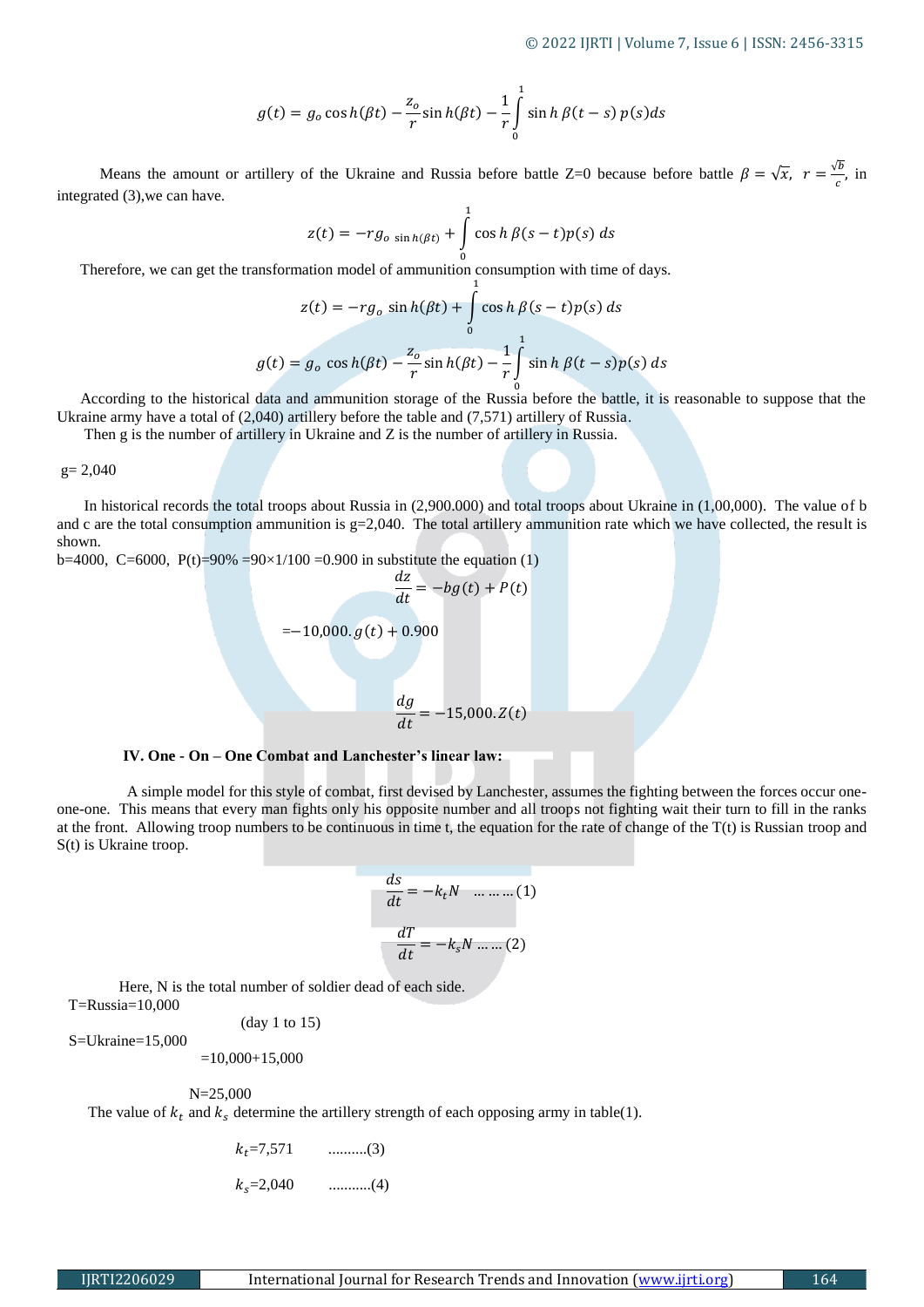$$
g(t) = g_o \cos h(\beta t) - \frac{z_o}{r} \sin h(\beta t) - \frac{1}{r} \int_0^1 \sin h \beta(t - s) p(s) ds
$$

Means the amount or artillery of the Ukraine and Russia before battle Z=0 because before battle  $\beta = \sqrt{x}$ ,  $r = \frac{\sqrt{b}}{c}$  $\frac{p}{c}$ , in integrated (3),we can have.

$$
z(t) = -r g_{o \sinh(\beta t)} + \int_{0}^{1} \cos h \beta (s - t) p(s) ds
$$

0 Therefore, we can get the transformation model of ammunition consumption with time of days.

$$
z(t) = -rg_o \sin h(\beta t) + \int_0^1 \cos h \beta (s - t) p(s) ds
$$

$$
g(t) = g_o \cos h(\beta t) - \frac{z_o}{r} \sin h(\beta t) - \frac{1}{r} \int_0^1 \sin h \beta (t - s) p(s) ds
$$

According to the historical data and ammunition storage of the Russia before the battle, it is reasonable to suppose that the Ukraine army have a total of (2,040) artillery before the table and (7,571) artillery of Russia.

Then g is the number of artillery in Ukraine and Z is the number of artillery in Russia.

#### g= 2,040

In historical records the total troops about Russia in (2,900.000) and total troops about Ukraine in (1,00,000). The value of b and c are the total consumption ammunition is g=2,040. The total artillery ammunition rate which we have collected, the result is shown.

b=4000, C=6000, P(t)=90% =90×1/100 =0.900 in substitute the equation (1)

$$
\frac{dz}{dt} = -bg(t) + P(t)
$$

$$
= -10,000. g(t) + 0.900
$$

$$
\frac{dg}{dt} = -15,000. Z(t)
$$

#### **IV. One - On – One Combat and Lanchester's linear law:**

 A simple model for this style of combat, first devised by Lanchester, assumes the fighting between the forces occur oneone-one. This means that every man fights only his opposite number and all troops not fighting wait their turn to fill in the ranks at the front. Allowing troop numbers to be continuous in time t, the equation for the rate of change of the  $T(t)$  is Russian troop and S(t) is Ukraine troop.

$$
\frac{ds}{dt} = -k_t N \quad \dots \dots \dots (1)
$$

$$
\frac{dT}{dt} = -k_s N \dots \dots (2)
$$

Here, N is the total number of soldier dead of each side. T=Russia=10,000

$$
(day 1 to 15)
$$

S=Ukraine=15,000

 $=10,000+15,000$ 

N=25,000

The value of  $k_t$  and  $k_s$  determine the artillery strength of each opposing army in table(1).

 $k_t$ =7,571 ..........(3) =2,040 ...........(4)